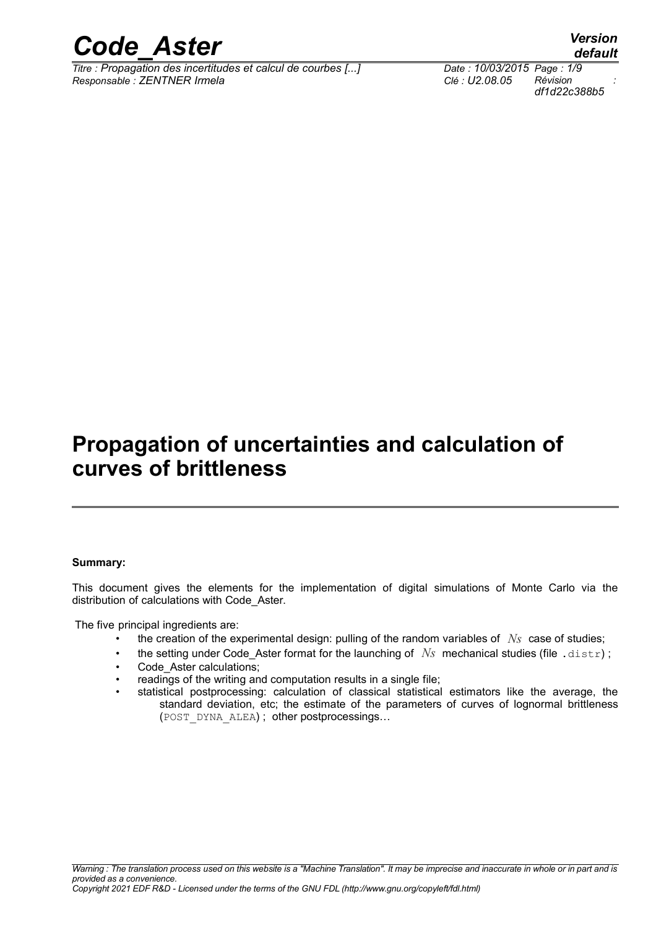

*Titre : Propagation des incertitudes et calcul de courbes [...] Date : 10/03/2015 Page : 1/9 Responsable : ZENTNER Irmela Clé : U2.08.05 Révision :*

## **Propagation of uncertainties and calculation of curves of brittleness**

#### **Summary:**

This document gives the elements for the implementation of digital simulations of Monte Carlo via the distribution of calculations with Code\_Aster.

The five principal ingredients are:

- the creation of the experimental design: pulling of the random variables of *Ns* case of studies;
- the setting under Code\_Aster format for the launching of  $N_s$  mechanical studies (file .distr);
- Code\_Aster calculations;
- readings of the writing and computation results in a single file;
- statistical postprocessing: calculation of classical statistical estimators like the average, the standard deviation, etc; the estimate of the parameters of curves of lognormal brittleness (POST\_DYNA\_ALEA) ; other postprocessings…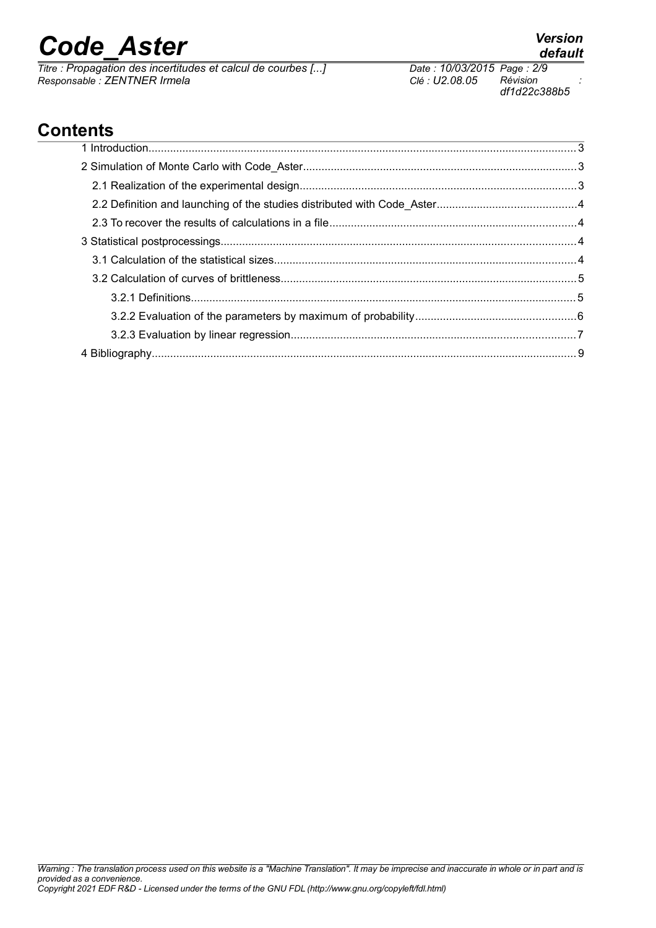*Titre : Propagation des incertitudes et calcul de courbes [...] Date : 10/03/2015 Page : 2/9 Responsable : ZENTNER Irmela Clé : U2.08.05 Révision :*

## **Contents**

## *default*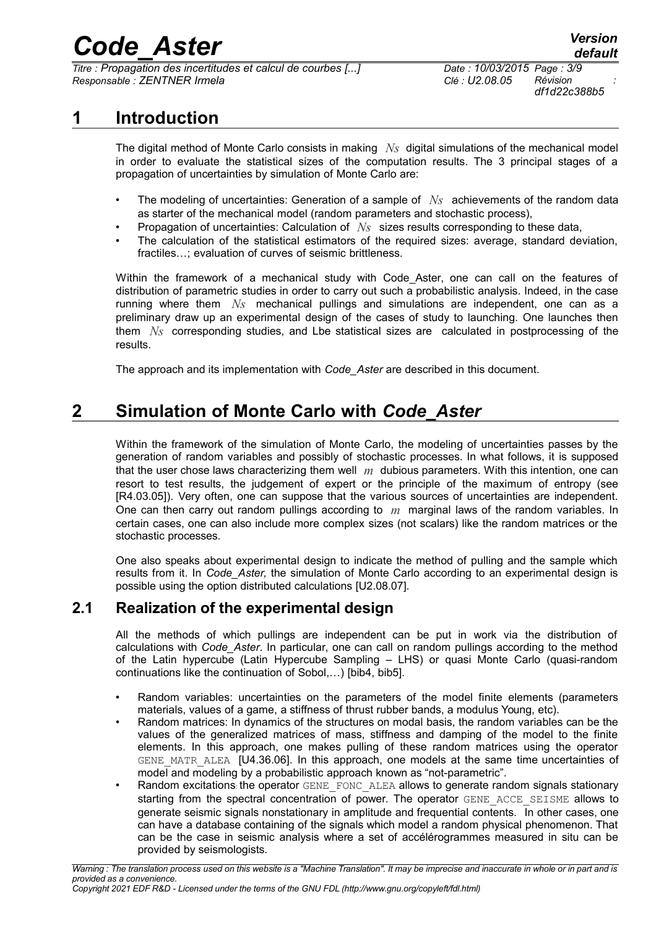*Titre : Propagation des incertitudes et calcul de courbes [...] Date : 10/03/2015 Page : 3/9 Responsable : ZENTNER Irmela Clé : U2.08.05 Révision :*

### **1 Introduction**

The digital method of Monte Carlo consists in making *Ns* digital simulations of the mechanical model in order to evaluate the statistical sizes of the computation results. The 3 principal stages of a propagation of uncertainties by simulation of Monte Carlo are:

- The modeling of uncertainties: Generation of a sample of *Ns* achievements of the random data as starter of the mechanical model (random parameters and stochastic process),
- Propagation of uncertainties: Calculation of *Ns* sizes results corresponding to these data,
- The calculation of the statistical estimators of the required sizes: average, standard deviation, fractiles…; evaluation of curves of seismic brittleness.

Within the framework of a mechanical study with Code Aster, one can call on the features of distribution of parametric studies in order to carry out such a probabilistic analysis. Indeed, in the case running where them *Ns* mechanical pullings and simulations are independent, one can as a preliminary draw up an experimental design of the cases of study to launching. One launches then them *Ns* corresponding studies, and Lbe statistical sizes are calculated in postprocessing of the results.

The approach and its implementation with *Code\_Aster* are described in this document.

### **2 Simulation of Monte Carlo with** *Code\_Aster*

Within the framework of the simulation of Monte Carlo, the modeling of uncertainties passes by the generation of random variables and possibly of stochastic processes. In what follows, it is supposed that the user chose laws characterizing them well *m* dubious parameters. With this intention, one can resort to test results, the judgement of expert or the principle of the maximum of entropy (see [R4.03.05]). Very often, one can suppose that the various sources of uncertainties are independent. One can then carry out random pullings according to *m* marginal laws of the random variables. In certain cases, one can also include more complex sizes (not scalars) like the random matrices or the stochastic processes.

One also speaks about experimental design to indicate the method of pulling and the sample which results from it. In *Code\_Aster,* the simulation of Monte Carlo according to an experimental design is possible using the option distributed calculations [U2.08.07].

#### **2.1 Realization of the experimental design**

All the methods of which pullings are independent can be put in work via the distribution of calculations with *Code\_Aster*. In particular, one can call on random pullings according to the method of the Latin hypercube (Latin Hypercube Sampling – LHS) or quasi Monte Carlo (quasi-random continuations like the continuation of Sobol,…) [bib4, bib5].

- Random variables: uncertainties on the parameters of the model finite elements (parameters materials, values of a game, a stiffness of thrust rubber bands, a modulus Young, etc).
- Random matrices: In dynamics of the structures on modal basis, the random variables can be the values of the generalized matrices of mass, stiffness and damping of the model to the finite elements. In this approach, one makes pulling of these random matrices using the operator GENE MATR ALEA [U4.36.06]. In this approach, one models at the same time uncertainties of model and modeling by a probabilistic approach known as "not-parametric".
- Random excitations: the operator GENE\_FONC\_ALEA allows to generate random signals stationary starting from the spectral concentration of power. The operator GENE ACCE SEISME allows to generate seismic signals nonstationary in amplitude and frequential contents. In other cases, one can have a database containing of the signals which model a random physical phenomenon. That can be the case in seismic analysis where a set of accélérogrammes measured in situ can be provided by seismologists.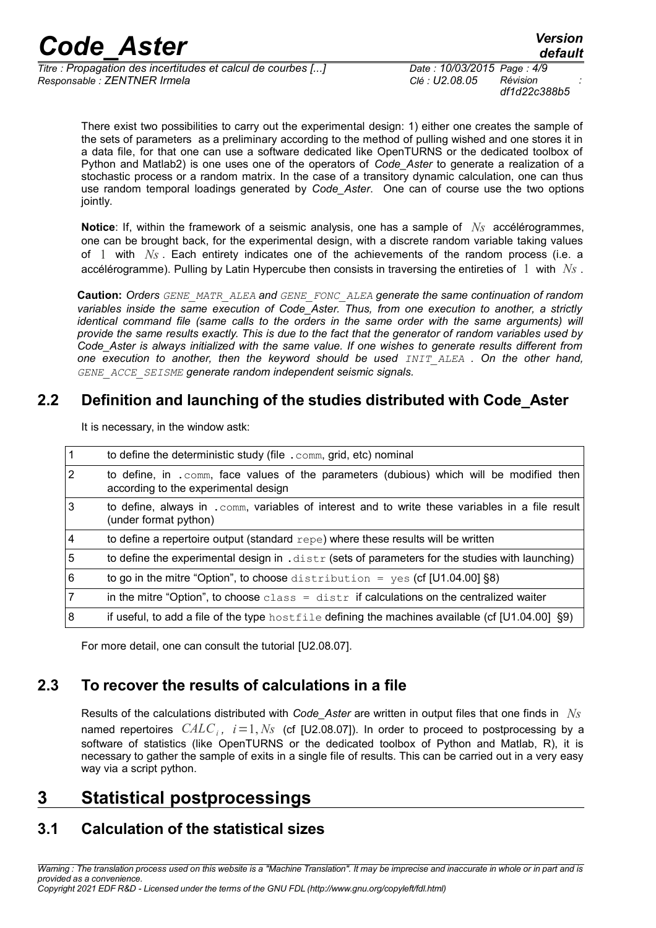*df1d22c388b5*

There exist two possibilities to carry out the experimental design: 1) either one creates the sample of the sets of parameters as a preliminary according to the method of pulling wished and one stores it in a data file, for that one can use a software dedicated like OpenTURNS or the dedicated toolbox of Python and Matlab2) is one uses one of the operators of *Code\_Aster* to generate a realization of a stochastic process or a random matrix. In the case of a transitory dynamic calculation, one can thus use random temporal loadings generated by *Code\_Aster*. One can of course use the two options jointly.

**Notice**: If, within the framework of a seismic analysis, one has a sample of *Ns* accélérogrammes, one can be brought back, for the experimental design, with a discrete random variable taking values of 1 with *Ns* . Each entirety indicates one of the achievements of the random process (i.e. a accélérogramme). Pulling by Latin Hypercube then consists in traversing the entireties of 1 with *Ns* .

**Caution:** *Orders GENE\_MATR\_ALEA and GENE\_FONC\_ALEA generate the same continuation of random variables inside the same execution of Code\_Aster. Thus, from one execution to another, a strictly identical command file (same calls to the orders in the same order with the same arguments) will provide the same results exactly. This is due to the fact that the generator of random variables used by Code\_Aster is always initialized with the same value. If one wishes to generate results different from one execution to another, then the keyword should be used INIT\_ALEA . On the other hand, GENE\_ACCE\_SEISME generate random independent seismic signals.*

#### **2.2 Definition and launching of the studies distributed with Code\_Aster**

| $\mathbf{1}$   | to define the deterministic study (file . comm, grid, etc) nominal                                                                |
|----------------|-----------------------------------------------------------------------------------------------------------------------------------|
| $\overline{2}$ | to define, in . comm, face values of the parameters (dubious) which will be modified then<br>according to the experimental design |
| 3              | to define, always in . comm, variables of interest and to write these variables in a file result<br>(under format python)         |
| $\overline{4}$ | to define a repertoire output (standard repe) where these results will be written                                                 |
| 5              | to define the experimental design in $.distr$ (sets of parameters for the studies with launching)                                 |
| 6              | to go in the mitre "Option", to choose distribution = yes (cf [U1.04.00] $\S 8$ )                                                 |
| $\overline{7}$ | in the mitre "Option", to choose class = $distr$ if calculations on the centralized waiter                                        |
| 8              | if useful, to add a file of the type $hostfile$ defining the machines available (cf [U1.04.00] §9)                                |
|                |                                                                                                                                   |

It is necessary, in the window astk:

For more detail, one can consult the tutorial [U2.08.07].

### **2.3 To recover the results of calculations in a file**

Results of the calculations distributed with *Code\_Aster* are written in output files that one finds in *Ns* named repertoires *CALC<sup>i</sup> , i*=1, *Ns* (cf [U2.08.07]). In order to proceed to postprocessing by a software of statistics (like OpenTURNS or the dedicated toolbox of Python and Matlab, R), it is necessary to gather the sample of exits in a single file of results. This can be carried out in a very easy way via a script python.

## **3 Statistical postprocessings**

### **3.1 Calculation of the statistical sizes**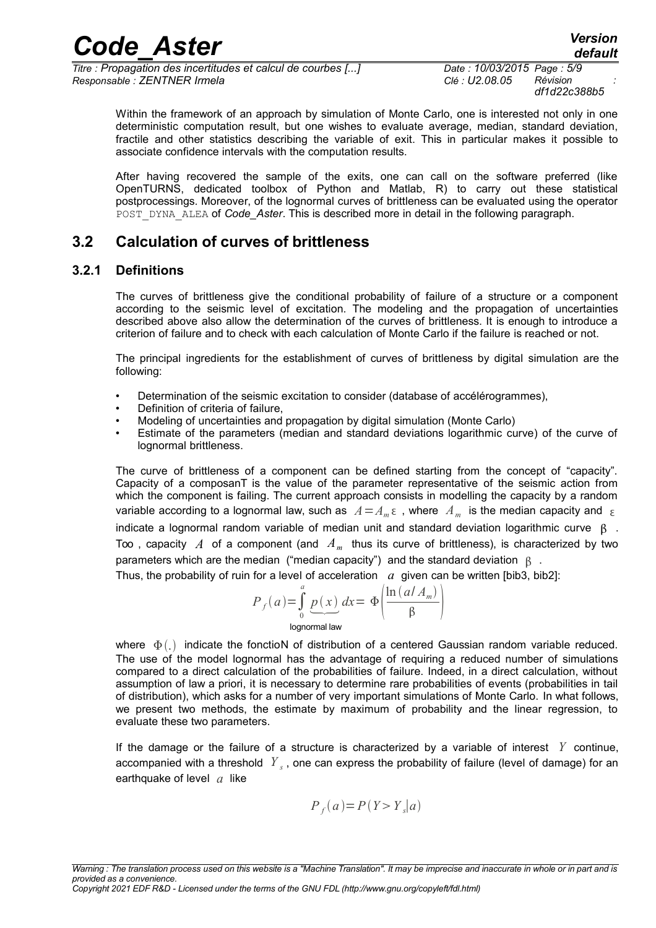*df1d22c388b5*

Within the framework of an approach by simulation of Monte Carlo, one is interested not only in one deterministic computation result, but one wishes to evaluate average, median, standard deviation, fractile and other statistics describing the variable of exit. This in particular makes it possible to associate confidence intervals with the computation results.

After having recovered the sample of the exits, one can call on the software preferred (like OpenTURNS, dedicated toolbox of Python and Matlab, R) to carry out these statistical postprocessings. Moreover, of the lognormal curves of brittleness can be evaluated using the operator POST\_DYNA\_ALEA of *Code Aster*. This is described more in detail in the following paragraph.

#### **3.2 Calculation of curves of brittleness**

#### **3.2.1 Definitions**

The curves of brittleness give the conditional probability of failure of a structure or a component according to the seismic level of excitation. The modeling and the propagation of uncertainties described above also allow the determination of the curves of brittleness. It is enough to introduce a criterion of failure and to check with each calculation of Monte Carlo if the failure is reached or not.

The principal ingredients for the establishment of curves of brittleness by digital simulation are the following:

- Determination of the seismic excitation to consider (database of accélérogrammes),
- Definition of criteria of failure.
- Modeling of uncertainties and propagation by digital simulation (Monte Carlo)
- Estimate of the parameters (median and standard deviations logarithmic curve) of the curve of lognormal brittleness.

The curve of brittleness of a component can be defined starting from the concept of "capacity". Capacity of a composanT is the value of the parameter representative of the seismic action from which the component is failing. The current approach consists in modelling the capacity by a random variable according to a lognormal law, such as  $A = A_m \,\epsilon$  , where  $|A_m|$  is the median capacity and  $|\epsilon|$ indicate a lognormal random variable of median unit and standard deviation logarithmic curve  $\beta$ . Too , capacity *A* of a component (and *Am* thus its curve of brittleness), is characterized by two parameters which are the median ("median capacity") and the standard deviation  $\beta$ .

Thus, the probability of ruin for a level of acceleration  $a$  given can be written [bib3, bib2]:

$$
P_f(a) = \int_0^a \underbrace{p(x)}_{\text{lognormal law}} dx = \Phi\left(\frac{\ln\left(a/A_m\right)}{\beta}\right)
$$

where  $\Phi(.)$  indicate the fonctioN of distribution of a centered Gaussian random variable reduced. The use of the model lognormal has the advantage of requiring a reduced number of simulations compared to a direct calculation of the probabilities of failure. Indeed, in a direct calculation, without assumption of law a priori, it is necessary to determine rare probabilities of events (probabilities in tail of distribution), which asks for a number of very important simulations of Monte Carlo. In what follows, we present two methods, the estimate by maximum of probability and the linear regression, to evaluate these two parameters.

If the damage or the failure of a structure is characterized by a variable of interest *Y* continue, accompanied with a threshold *Y <sup>s</sup>* , one can express the probability of failure (level of damage) for an earthquake of level *a* like

$$
P_f(a) = P(Y > Y_s|a)
$$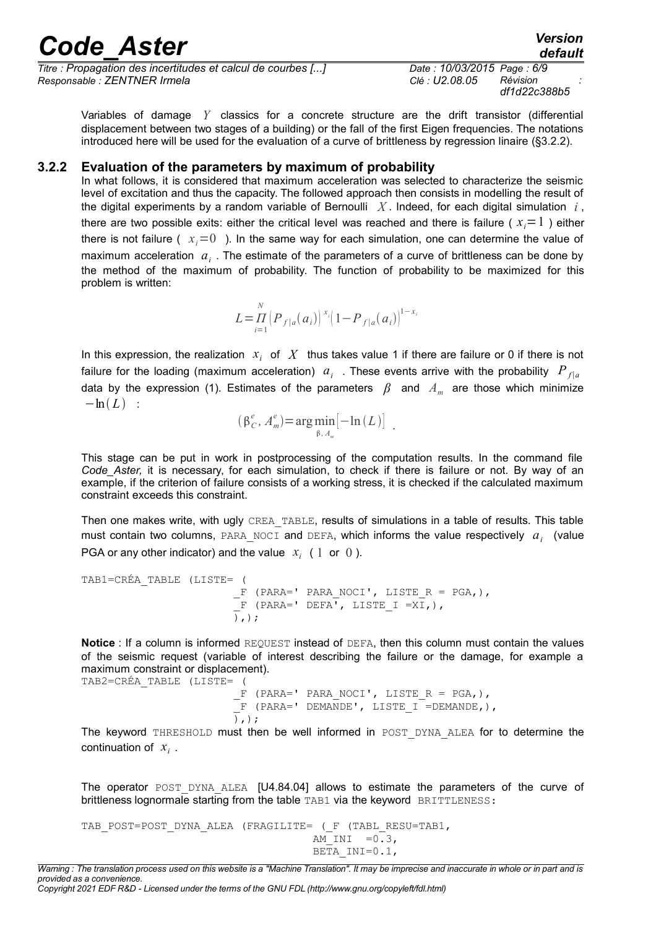*Titre : Propagation des incertitudes et calcul de courbes [...] Date : 10/03/2015 Page : 6/9 Responsable : ZENTNER Irmela Clé : U2.08.05 Révision :*

*df1d22c388b5*

Variables of damage *Y* classics for a concrete structure are the drift transistor (differential displacement between two stages of a building) or the fall of the first Eigen frequencies. The notations introduced here will be used for the evaluation of a curve of brittleness by regression linaire (§3.2.2).

#### **3.2.2 Evaluation of the parameters by maximum of probability**

In what follows, it is considered that maximum acceleration was selected to characterize the seismic level of excitation and thus the capacity. The followed approach then consists in modelling the result of the digital experiments by a random variable of Bernoulli X. Indeed, for each digital simulation  $i$ , there are two possible exits: either the critical level was reached and there is failure ( $x_i = 1$ ) either there is not failure ( $x_i=0$ ). In the same way for each simulation, one can determine the value of maximum acceleration *a<sup>i</sup>* . The estimate of the parameters of a curve of brittleness can be done by the method of the maximum of probability. The function of probability to be maximized for this problem is written:

> *L*=*Π i*=1 *N*  $\left(P_{f|a}(a_i)\right)^{x_i} \left(1-P_{f|a}(a_i)\right)^{1-x_i}$

In this expression, the realization  $x_i$  of  $X$  thus takes value 1 if there are failure or 0 if there is not failure for the loading (maximum acceleration)  $a_i$  . These events arrive with the probability  $P_{f|a}$ data by the expression (1). Estimates of the parameters *β* and *A<sup>m</sup>* are those which minimize  $-\ln(L)$  :

$$
(\beta_C^e, A_m^e) = \arg\min_{\beta, A_m} [-\ln(L)] \quad .
$$

This stage can be put in work in postprocessing of the computation results. In the command file *Code\_Aster,* it is necessary, for each simulation, to check if there is failure or not. By way of an example, if the criterion of failure consists of a working stress, it is checked if the calculated maximum constraint exceeds this constraint.

Then one makes write, with ugly CREA\_TABLE, results of simulations in a table of results. This table must contain two columns, PARA\_NOCI and DEFA, which informs the value respectively *a<sup>i</sup>* (value PGA or any other indicator) and the value  $x_i$  ( 1 or 0).

```
TAB1=CRÉA_TABLE (LISTE= (
                               F (PARA=' PARA_NOCI', LISTE_R = PGA,),
                              \overline{F} (PARA=' DEFA<sup>T</sup>, LISTE_I =XI,),
                              \overline{)},);
```
**Notice** : If a column is informed REQUEST instead of DEFA, then this column must contain the values of the seismic request (variable of interest describing the failure or the damage, for example a maximum constraint or displacement). TAB2=CRÉA\_TABLE (LISTE= (

```
F (PARA=' PARA_NOCI', LISTE R = PGA,),
 \overline{F} (PARA=' DEMANDE', LISTE I =DEMANDE,),
), );
```
The keyword THRESHOLD must then be well informed in POST DYNA ALEA for to determine the continuation of *x<sup>i</sup>* .

The operator POST DYNA ALEA [U4.84.04] allows to estimate the parameters of the curve of brittleness lognormale starting from the table TAB1 via the keyword BRITTLENESS:

TAB\_POST=POST\_DYNA\_ALEA (FRAGILITE= ( F (TABL RESU=TAB1,  $AM$  INI =  $0.3$ , BETA  $INT=0.1$ ,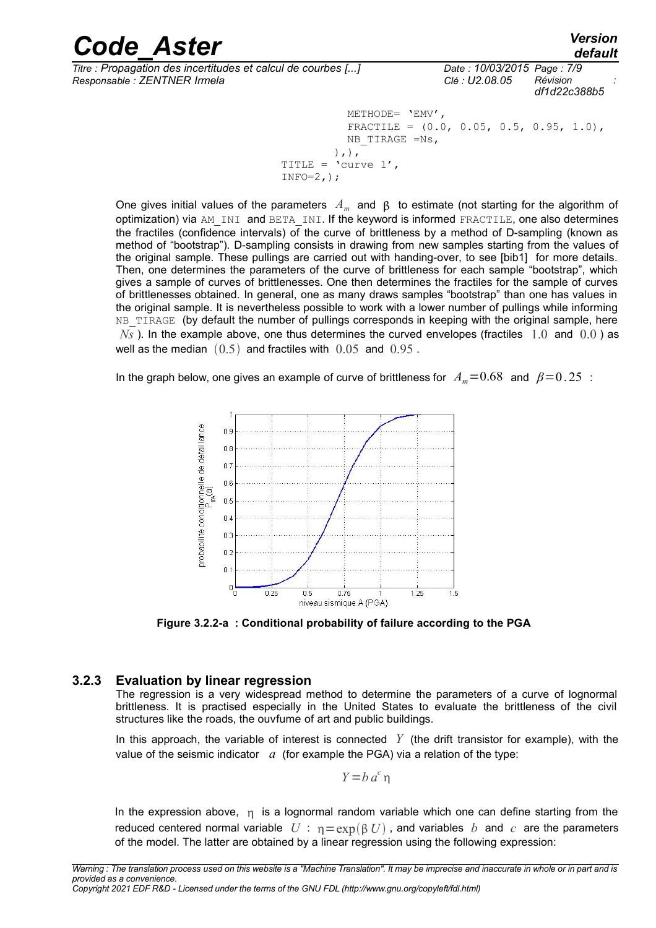#### *Code\_Aster Version Titre : Propagation des incertitudes et calcul de courbes [...] Date : 10/03/2015 Page : 7/9 Responsable : ZENTNER Irmela Clé : U2.08.05 Révision :*

INFO= $2,$ );

*df1d22c388b5* METHODE= 'EMV', FRACTILE =  $(0.0, 0.05, 0.5, 0.95, 1.0)$ , NB\_TIRAGE =Ns,  $)$ ,  $)$ , TITLE =  $\text{^\prime}$ curve 1',

One gives initial values of the parameters  $A_m$  and  $\,\beta\,$  to estimate (not starting for the algorithm of optimization) via AM\_INI and BETA\_INI. If the keyword is informed FRACTILE, one also determines the fractiles (confidence intervals) of the curve of brittleness by a method of D-sampling (known as method of "bootstrap"). D-sampling consists in drawing from new samples starting from the values of the original sample. These pullings are carried out with handing-over, to see [bib1] for more details. Then, one determines the parameters of the curve of brittleness for each sample "bootstrap", which gives a sample of curves of brittlenesses. One then determines the fractiles for the sample of curves of brittlenesses obtained. In general, one as many draws samples "bootstrap" than one has values in the original sample. It is nevertheless possible to work with a lower number of pullings while informing NB TIRAGE (by default the number of pullings corresponds in keeping with the original sample, here  $N<sub>S</sub>$ ). In the example above, one thus determines the curved envelopes (fractiles  $1.0$  and  $0.0$ ) as well as the median  $(0.5)$  and fractiles with  $0.05$  and  $0.95$ .

In the graph below, one gives an example of curve of brittleness for  $A_m = 0.68$  and  $\beta = 0.25$ :



**Figure 3.2.2-a : Conditional probability of failure according to the PGA**

#### **3.2.3 Evaluation by linear regression**

The regression is a very widespread method to determine the parameters of a curve of lognormal brittleness. It is practised especially in the United States to evaluate the brittleness of the civil structures like the roads, the ouvfume of art and public buildings.

In this approach, the variable of interest is connected  $Y$  (the drift transistor for example), with the value of the seismic indicator *a* (for example the PGA) via a relation of the type:

$$
Y = b \, a^c \, \eta
$$

In the expression above,  $n_i$  is a lognormal random variable which one can define starting from the reduced centered normal variable  $U : \eta = \exp(B U)$ , and variables *b* and *c* are the parameters of the model. The latter are obtained by a linear regression using the following expression: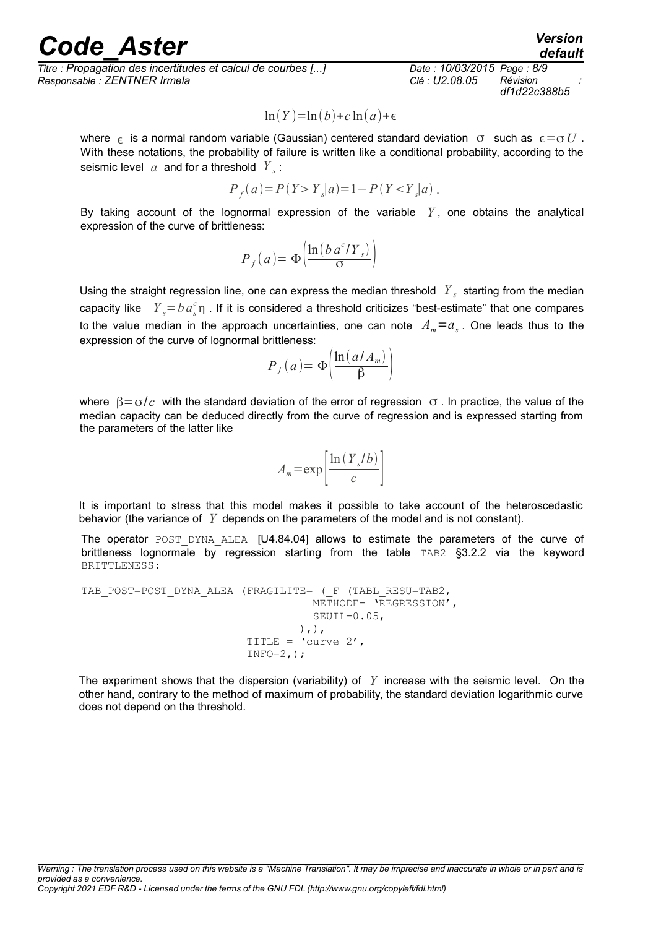*Titre : Propagation des incertitudes et calcul de courbes [...] Date : 10/03/2015 Page : 8/9 Responsable : ZENTNER Irmela Clé : U2.08.05 Révision :*

*df1d22c388b5*

$$
\ln(Y) = \ln(b) + c \ln(a) + \epsilon
$$

where  $\epsilon$  is a normal random variable (Gaussian) centered standard deviation  $\sigma$  such as  $\epsilon = \sigma U$ . With these notations, the probability of failure is written like a conditional probability, according to the seismic level  $|a|$  and for a threshold  $|Y|_s$ :

$$
P_f(a) = P(Y > Y_s|a) = 1 - P(Y < Y_s|a) .
$$

By taking account of the lognormal expression of the variable  $Y$ , one obtains the analytical expression of the curve of brittleness:

$$
P_f(a) = \Phi\left(\frac{\ln(b \, a^c/Y_s)}{\sigma}\right)
$$

Using the straight regression line, one can express the median threshold  $|Y_{s}|$  starting from the median capacity like  $Y_s = b \, a_s^c$ η. If it is considered a threshold criticizes "best-estimate" that one compares to the value median in the approach uncertainties, one can note  $A_m = a_s$ . One leads thus to the expression of the curve of lognormal brittleness:

$$
P_f(a) = \Phi\left(\frac{\ln\left(a/A_m\right)}{\beta}\right)
$$

where  $\beta = \sigma/c$  with the standard deviation of the error of regression  $\sigma$ . In practice, the value of the median capacity can be deduced directly from the curve of regression and is expressed starting from the parameters of the latter like

$$
A_m = \exp\left[\frac{\ln(Y_s/b)}{c}\right]
$$

It is important to stress that this model makes it possible to take account of the heteroscedastic behavior (the variance of *Y* depends on the parameters of the model and is not constant).

The operator POST DYNA ALEA [U4.84.04] allows to estimate the parameters of the curve of brittleness lognormale by regression starting from the table TAB2 §3.2.2 via the keyword BRITTLENESS:

```
TAB_POST=POST_DYNA_ALEA (FRAGILITE= ( F (TABL_RESU=TAB2,
                                                     METHODE= 'REGRESSION',
                                                      SEUIL=0.05, 
\left( \begin{array}{c} 1 \\ 1 \end{array} \right), \left( \begin{array}{c} 1 \\ 1 \end{array} \right)TITLE = \text{^\prime}curve 2',
                                      INFO=2,);
```
The experiment shows that the dispersion (variability) of  $Y$  increase with the seismic level. On the other hand, contrary to the method of maximum of probability, the standard deviation logarithmic curve does not depend on the threshold.